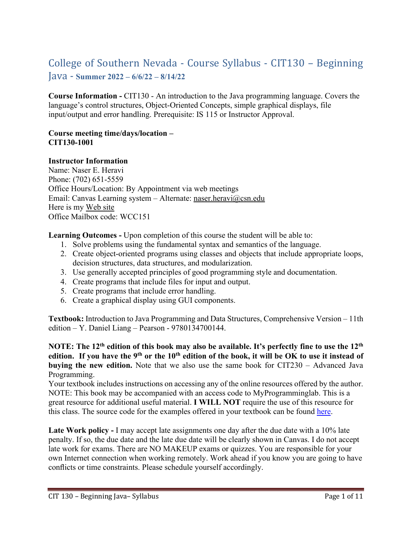# College of Southern Nevada - Course Syllabus - CIT130 – Beginning Java - **Summer 2022 – 6/6/22 – 8/14/22**

**Course Information -** CIT130 - An introduction to the Java programming language. Covers the language's control structures, Object-Oriented Concepts, simple graphical displays, file input/output and error handling. Prerequisite: IS 115 or Instructor Approval.

#### **Course meeting time/days/location – CIT130-1001**

### **Instructor Information**

Name: Naser E. Heravi Phone: (702) 651-5559 Office Hours/Location: By Appointment via web meetings Email: Canvas Learning system – Alternate: [naser.heravi@csn.edu](mailto:naser.heravi@csn.edu) Here is my [Web site](http://bellagio.csn.edu/%7Enheravi/courses/) Office Mailbox code: WCC151

**Learning Outcomes -** Upon completion of this course the student will be able to:

- 1. Solve problems using the fundamental syntax and semantics of the language.
- 2. Create object-oriented programs using classes and objects that include appropriate loops, decision structures, data structures, and modularization.
- 3. Use generally accepted principles of good programming style and documentation.
- 4. Create programs that include files for input and output.
- 5. Create programs that include error handling.
- 6. Create a graphical display using GUI components.

**Textbook:** Introduction to Java Programming and Data Structures, Comprehensive Version – 11th edition – Y. Daniel Liang – Pearson -  $9780134700144$ .

**NOTE: The 12th edition of this book may also be available. It's perfectly fine to use the 12th edition. If you have the 9th or the 10th edition of the book, it will be OK to use it instead of buying the new edition.** Note that we also use the same book for CIT230 – Advanced Java Programming.

Your textbook includes instructions on accessing any of the online resources offered by the author. NOTE: This book may be accompanied with an access code to MyProgramminglab. This is a great resource for additional useful material. **I WILL NOT** require the use of this resource for this class. The source code for the examples offered in your textbook can be found [here.](https://bit.ly/3px48rF)

Late Work policy - I may accept late assignments one day after the due date with a 10% late penalty. If so, the due date and the late due date will be clearly shown in Canvas. I do not accept late work for exams. There are NO MAKEUP exams or quizzes. You are responsible for your own Internet connection when working remotely. Work ahead if you know you are going to have conflicts or time constraints. Please schedule yourself accordingly.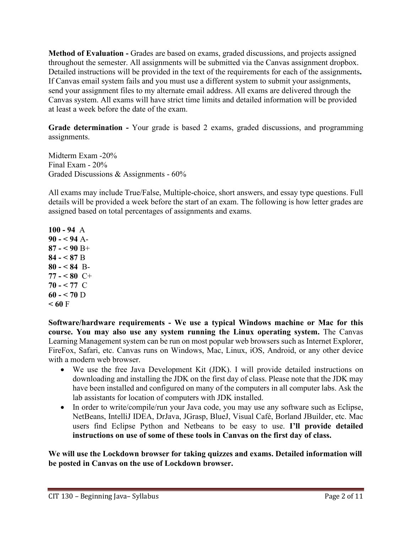**Method of Evaluation -** Grades are based on exams, graded discussions, and projects assigned throughout the semester. All assignments will be submitted via the Canvas assignment dropbox. Detailed instructions will be provided in the text of the requirements for each of the assignments**.**  If Canvas email system fails and you must use a different system to submit your assignments, send your assignment files to my alternate email address. All exams are delivered through the Canvas system. All exams will have strict time limits and detailed information will be provided at least a week before the date of the exam.

**Grade determination -** Your grade is based 2 exams, graded discussions, and programming assignments.

Midterm Exam -20% Final Exam - 20% Graded Discussions & Assignments - 60%

All exams may include True/False, Multiple-choice, short answers, and essay type questions. Full details will be provided a week before the start of an exam. The following is how letter grades are assigned based on total percentages of assignments and exams.

**100 - 94** A **90 - < 94** A-**87 - < 90** B+ **84 - < 87** B **80 - < 84** B-**77 - < 80** C+ **70 - < 77** C **60 - < 70** D  $< 60 F$ 

**Software/hardware requirements - We use a typical Windows machine or Mac for this course. You may also use any system running the Linux operating system.** The Canvas Learning Management system can be run on most popular web browsers such as Internet Explorer, FireFox, Safari, etc. Canvas runs on Windows, Mac, Linux, iOS, Android, or any other device with a modern web browser.

- We use the free Java Development Kit (JDK). I will provide detailed instructions on downloading and installing the JDK on the first day of class. Please note that the JDK may have been installed and configured on many of the computers in all computer labs. Ask the lab assistants for location of computers with JDK installed.
- In order to write/compile/run your Java code, you may use any software such as Eclipse, NetBeans, IntelliJ IDEA, DrJava, JGrasp, BlueJ, Visual Café, Borland JBuilder, etc. Mac users find Eclipse Python and Netbeans to be easy to use. **I'll provide detailed instructions on use of some of these tools in Canvas on the first day of class.**

**We will use the Lockdown browser for taking quizzes and exams. Detailed information will be posted in Canvas on the use of Lockdown browser.**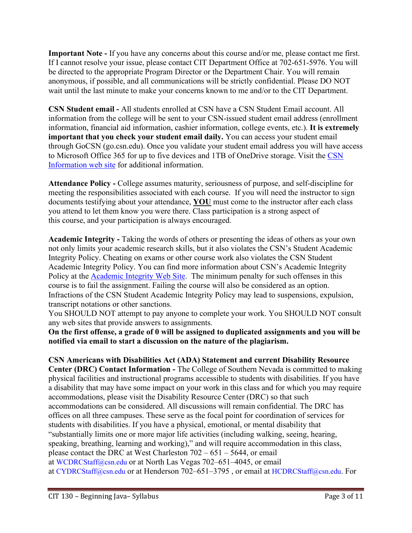**Important Note -** If you have any concerns about this course and/or me, please contact me first. If I cannot resolve your issue, please contact CIT Department Office at 702-651-5976. You will be directed to the appropriate Program Director or the Department Chair. You will remain anonymous, if possible, and all communications will be strictly confidential. Please DO NOT wait until the last minute to make your concerns known to me and/or to the CIT Department.

**CSN Student email -** All students enrolled at CSN have a CSN Student Email account. All information from the college will be sent to your CSN-issued student email address (enrollment information, financial aid information, cashier information, college events, etc.). **It is extremely important that you check your student email daily.** You can access your student email through GoCSN (go.csn.edu). Once you validate your student email address you will have access to Microsoft Office 365 for up to five devices and 1TB of OneDrive storage. Visit the [CSN](http://www.csn.edu/email)  [Information web site](http://www.csn.edu/email) for additional information.

**Attendance Policy -** College assumes maturity, seriousness of purpose, and self-discipline for meeting the responsibilities associated with each course. If you will need the instructor to sign documents testifying about your attendance, **YOU** must come to the instructor after each class you attend to let them know you were there. Class participation is a strong aspect of this course, and your participation is always encouraged.

**Academic Integrity -** Taking the words of others or presenting the ideas of others as your own not only limits your academic research skills, but it also violates the CSN's Student Academic Integrity Policy. Cheating on exams or other course work also violates the CSN Student Academic Integrity Policy. You can find more information about CSN's Academic Integrity Policy at the [Academic Integrity Web Site.](https://at.csn.edu/documents/student-academic-integrity-policy) The minimum penalty for such offenses in this course is to fail the assignment. Failing the course will also be considered as an option. Infractions of the CSN Student Academic Integrity Policy may lead to suspensions, expulsion, transcript notations or other sanctions.

You SHOULD NOT attempt to pay anyone to complete your work. You SHOULD NOT consult any web sites that provide answers to assignments.

**On the first offense, a grade of 0 will be assigned to duplicated assignments and you will be notified via email to start a discussion on the nature of the plagiarism.**

**CSN Americans with Disabilities Act (ADA) Statement and current Disability Resource Center (DRC) Contact Information -** The College of Southern Nevada is committed to making physical facilities and instructional programs accessible to students with disabilities. If you have a disability that may have some impact on your work in this class and for which you may require accommodations, please visit the Disability Resource Center (DRC) so that such accommodations can be considered. All discussions will remain confidential. The DRC has offices on all three campuses. These serve as the focal point for coordination of services for students with disabilities. If you have a physical, emotional, or mental disability that "substantially limits one or more major life activities (including walking, seeing, hearing, speaking, breathing, learning and working)," and will require accommodation in this class, please contact the DRC at West Charleston 702 – 651 – 5644, or email at [WCDRCStaff@csn.edu](mailto:WCDRCStaff@csn.edu) or at North Las Vegas 702–651–4045, or email at [CYDRCStaff@csn.edu](mailto:CYDRCStaff@csn.edu) or at Henderson 702–651–3795 , or email at [HCDRCStaff@csn.edu.](mailto:HCDRCStaff@csn.edu) For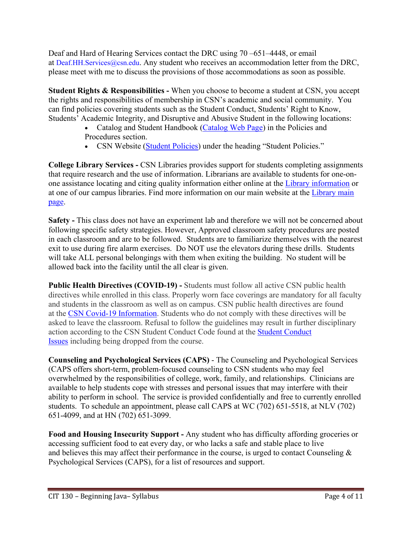Deaf and Hard of Hearing Services contact the DRC using 70 –651–4448, or email at [Deaf.HH.Services@csn.edu.](mailto:Deaf.HH.Services@csn.edu) Any student who receives an accommodation letter from the DRC, please meet with me to discuss the provisions of those accommodations as soon as possible.

**Student Rights & Responsibilities -** When you choose to become a student at CSN, you accept the rights and responsibilities of membership in CSN's academic and social community. You can find policies covering students such as the Student Conduct, Students' Right to Know, Students' Academic Integrity, and Disruptive and Abusive Student in the following locations:

- Catalog and Student Handbook [\(Catalog Web](https://www.csn.edu/catalog) Page) in the Policies and Procedures section.
- CSN Website [\(Student Policies\)](https://www.csn.edu/policies-procedures) under the heading "Student Policies."

**College Library Services -** CSN Libraries provides support for students completing assignments that require research and the use of information. Librarians are available to students for one-onone assistance locating and citing quality information either online at the [Library information](https://library.csn.edu/ask/) or at one of our campus libraries. Find more information on our main website at the [Library main](https://library.csn.edu/)  [page.](https://library.csn.edu/)

**Safety -** This class does not have an experiment lab and therefore we will not be concerned about following specific safety strategies. However, Approved classroom safety procedures are posted in each classroom and are to be followed. Students are to familiarize themselves with the nearest exit to use during fire alarm exercises. Do NOT use the elevators during these drills. Students will take ALL personal belongings with them when exiting the building. No student will be allowed back into the facility until the all clear is given.

**Public Health Directives (COVID-19) -** Students must follow all active CSN public health directives while enrolled in this class. Properly worn face coverings are mandatory for all faculty and students in the classroom as well as on campus. CSN public health directives are found at the [CSN Covid-19 Information.](https://at.csn.edu/covid-19) Students who do not comply with these directives will be asked to leave the classroom. Refusal to follow the guidelines may result in further disciplinary action according to the CSN Student Conduct Code found at the [Student Conduct](https://www.csn.edu/sites/default/files/documents/student_conduct_code_policy_1.pdf)  [Issues](https://www.csn.edu/sites/default/files/documents/student_conduct_code_policy_1.pdf) including being dropped from the course.

**Counseling and Psychological Services (CAPS)** - The Counseling and Psychological Services (CAPS offers short-term, problem-focused counseling to CSN students who may feel overwhelmed by the responsibilities of college, work, family, and relationships.  Clinicians are available to help students cope with stresses and personal issues that may interfere with their ability to perform in school.  The service is provided confidentially and free to currently enrolled students.  To schedule an appointment, please call CAPS at WC (702) 651-5518, at NLV (702) 651-4099, and at HN (702) 651-3099.

**Food and Housing Insecurity Support -** Any student who has difficulty affording groceries or accessing sufficient food to eat every day, or who lacks a safe and stable place to live and believes this may affect their performance in the course, is urged to contact Counseling  $\&$ Psychological Services (CAPS), for a list of resources and support.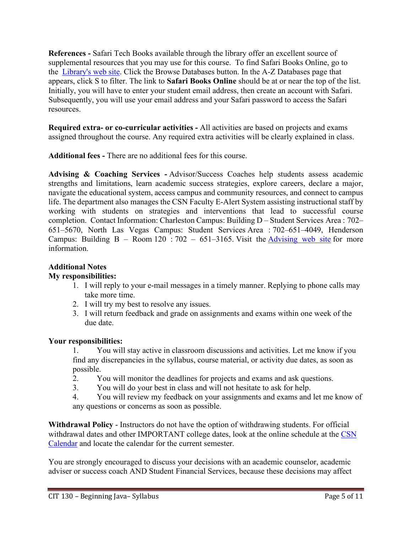**References -** Safari Tech Books available through the library offer an excellent source of supplemental resources that you may use for this course. To find Safari Books Online, go to the Library's web site. Click the Browse Databases button. In the A-Z Databases page that appears, click S to filter. The link to **Safari Books Online** should be at or near the top of the list. Initially, you will have to enter your student email address, then create an account with Safari. Subsequently, you will use your email address and your Safari password to access the Safari resources.

**Required extra- or co-curricular activities -** All activities are based on projects and exams assigned throughout the course. Any required extra activities will be clearly explained in class.

**Additional fees -** There are no additional fees for this course.

**Advising & Coaching Services -** Advisor/Success Coaches help students assess academic strengths and limitations, learn academic success strategies, explore careers, declare a major, navigate the educational system, access campus and community resources, and connect to campus life. The department also manages the CSN Faculty E-Alert System assisting instructional staff by working with students on strategies and interventions that lead to successful course completion. Contact Information: Charleston Campus: Building D – Student Services Area : 702– 651–5670, North Las Vegas Campus: Student Services Area : 702–651–4049, Henderson Campus: Building  $B -$  Room 120 : 702 – 651–3165. Visit the [Advising web site](https://www.csn.edu/advising) for more information.

## **Additional Notes**

## **My responsibilities:**

- 1. I will reply to your e-mail messages in a timely manner. Replying to phone calls may take more time.
- 2. I will try my best to resolve any issues.
- 3. I will return feedback and grade on assignments and exams within one week of the due date.

### **Your responsibilities:**

- 1. You will stay active in classroom discussions and activities. Let me know if you find any discrepancies in the syllabus, course material, or activity due dates, as soon as possible.
- 2. You will monitor the deadlines for projects and exams and ask questions.
- 3. You will do your best in class and will not hesitate to ask for help.
- 4. You will review my feedback on your assignments and exams and let me know of any questions or concerns as soon as possible.

**Withdrawal Policy** - Instructors do not have the option of withdrawing students. For official withdrawal dates and other IMPORTANT college dates, look at the online schedule at the CSN [Calendar](https://www.csn.edu/calendar-catalog-schedule) and locate the calendar for the current semester.

You are strongly encouraged to discuss your decisions with an academic counselor, academic adviser or success coach AND Student Financial Services, because these decisions may affect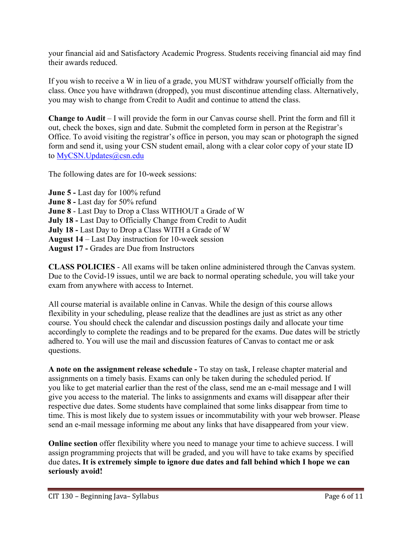your financial aid and Satisfactory Academic Progress. Students receiving financial aid may find their awards reduced.

If you wish to receive a W in lieu of a grade, you MUST withdraw yourself officially from the class. Once you have withdrawn (dropped), you must discontinue attending class. Alternatively, you may wish to change from Credit to Audit and continue to attend the class.

**Change to Audit** – I will provide the form in our Canvas course shell. Print the form and fill it out, check the boxes, sign and date. Submit the completed form in person at the Registrar's Office. To avoid visiting the registrar's office in person, you may scan or photograph the signed form and send it, using your CSN student email, along with a clear color copy of your state ID to [MyCSN.Updates@csn.edu](mailto:MyCSN.Updates@csn.edu)

The following dates are for 10-week sessions:

**June 5 -** Last day for 100% refund **June 8 -** Last day for 50% refund **June 8** - Last Day to Drop a Class WITHOUT a Grade of W **July 18 -** Last Day to Officially Change from Credit to Audit **July 18 -** Last Day to Drop a Class WITH a Grade of W **August 14** – Last Day instruction for 10-week session **August 17 -** Grades are Due from Instructors

**CLASS POLICIES** - All exams will be taken online administered through the Canvas system. Due to the Covid-19 issues, until we are back to normal operating schedule, you will take your exam from anywhere with access to Internet.

All course material is available online in Canvas. While the design of this course allows flexibility in your scheduling, please realize that the deadlines are just as strict as any other course. You should check the calendar and discussion postings daily and allocate your time accordingly to complete the readings and to be prepared for the exams. Due dates will be strictly adhered to. You will use the mail and discussion features of Canvas to contact me or ask questions.

**A note on the assignment release schedule -** To stay on task, I release chapter material and assignments on a timely basis. Exams can only be taken during the scheduled period. If you like to get material earlier than the rest of the class, send me an e-mail message and I will give you access to the material. The links to assignments and exams will disappear after their respective due dates. Some students have complained that some links disappear from time to time. This is most likely due to system issues or incommutability with your web browser. Please send an e-mail message informing me about any links that have disappeared from your view.

**Online section** offer flexibility where you need to manage your time to achieve success. I will assign programming projects that will be graded, and you will have to take exams by specified due dates**. It is extremely simple to ignore due dates and fall behind which I hope we can seriously avoid!**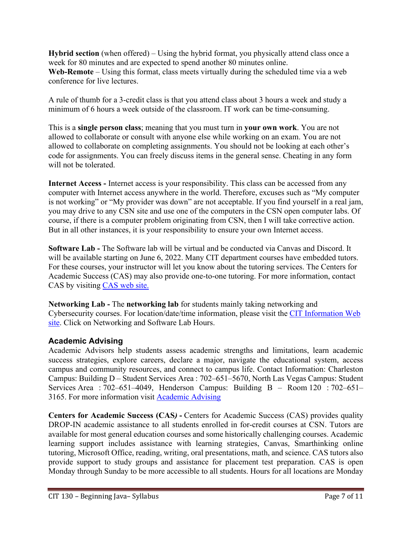**Hybrid section** (when offered) – Using the hybrid format, you physically attend class once a week for 80 minutes and are expected to spend another 80 minutes online. **Web-Remote** – Using this format, class meets virtually during the scheduled time via a web conference for live lectures.

A rule of thumb for a 3-credit class is that you attend class about 3 hours a week and study a minimum of 6 hours a week outside of the classroom. IT work can be time-consuming.

This is a **single person class**; meaning that you must turn in **your own work**. You are not allowed to collaborate or consult with anyone else while working on an exam. You are not allowed to collaborate on completing assignments. You should not be looking at each other's code for assignments. You can freely discuss items in the general sense. Cheating in any form will not be tolerated.

**Internet Access -** Internet access is your responsibility. This class can be accessed from any computer with Internet access anywhere in the world. Therefore, excuses such as "My computer is not working" or "My provider was down" are not acceptable. If you find yourself in a real jam, you may drive to any CSN site and use one of the computers in the CSN open computer labs. Of course, if there is a computer problem originating from CSN, then I will take corrective action. But in all other instances, it is your responsibility to ensure your own Internet access.

**Software Lab -** The Software lab will be virtual and be conducted via Canvas and Discord. It will be available starting on June 6, 2022. Many CIT department courses have embedded tutors. For these courses, your instructor will let you know about the tutoring services. The Centers for Academic Success (CAS) may also provide one-to-one tutoring. For more information, contact CAS by visiting [CAS web site.](http://www.csn.edu/centers-academic-success)

**Networking Lab -** The **networking lab** for students mainly taking networking and Cybersecurity courses. For location/date/time information, please visit the [CIT Information Web](https://at.csn.edu/cit-information)  [site.](https://at.csn.edu/cit-information) Click on Networking and Software Lab Hours.

# **Academic Advising**

Academic Advisors help students assess academic strengths and limitations, learn academic success strategies, explore careers, declare a major, navigate the educational system, access campus and community resources, and connect to campus life. Contact Information: Charleston Campus: Building D – Student Services Area : 702–651–5670, North Las Vegas Campus: Student Services Area : 702–651–4049, Henderson Campus: Building B – Room 120 : 702–651– 3165. For more information visit [Academic Advising](https://www.csn.edu/advising)

**Centers for Academic Success (CAS***)* **-** Centers for Academic Success (CAS) provides quality DROP-IN academic assistance to all students enrolled in for-credit courses at CSN. Tutors are available for most general education courses and some historically challenging courses. Academic learning support includes assistance with learning strategies, Canvas, Smarthinking online tutoring, Microsoft Office, reading, writing, oral presentations, math, and science. CAS tutors also provide support to study groups and assistance for placement test preparation. CAS is open Monday through Sunday to be more accessible to all students. Hours for all locations are Monday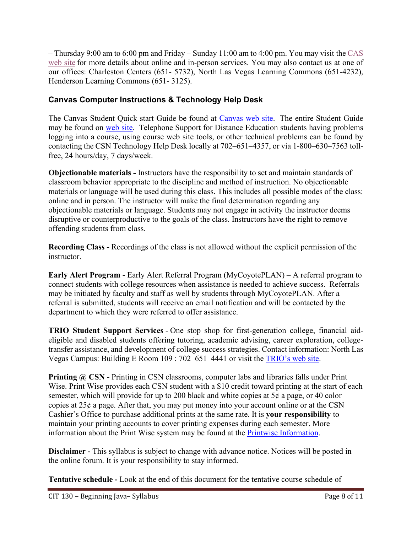– Thursday 9:00 am to 6:00 pm and Friday – Sunday 11:00 am to 4:00 pm. You may visit the  $\underline{CAS}$ [web site](http://www.csn.edu/centers-academic-success) for more details about online and in-person services. You may also contact us at one of our offices: Charleston Centers (651- 5732), North Las Vegas Learning Commons (651-4232), Henderson Learning Commons (651- 3125).

## **Canvas Computer Instructions & Technology Help Desk**

The Canvas Student Quick start Guide be found at [Canvas web site.](http://guides.instructure.com/m/8470) The entire Student Guide may be found on [web site.](http://guides.instructure.com/m/4212) Telephone Support for Distance Education students having problems logging into a course, using course web site tools, or other technical problems can be found by contacting the CSN Technology Help Desk locally at 702–651–4357, or via 1-800–630–7563 tollfree, 24 hours/day, 7 days/week.

**Objectionable materials -** Instructors have the responsibility to set and maintain standards of classroom behavior appropriate to the discipline and method of instruction. No objectionable materials or language will be used during this class. This includes all possible modes of the class: online and in person. The instructor will make the final determination regarding any objectionable materials or language. Students may not engage in activity the instructor deems disruptive or counterproductive to the goals of the class. Instructors have the right to remove offending students from class.

**Recording Class -** Recordings of the class is not allowed without the explicit permission of the instructor.

**Early Alert Program -** Early Alert Referral Program (MyCoyotePLAN) – A referral program to connect students with college resources when assistance is needed to achieve success. Referrals may be initiated by faculty and staff as well by students through MyCoyotePLAN. After a referral is submitted, students will receive an email notification and will be contacted by the department to which they were referred to offer assistance.

**TRIO Student Support Services** - One stop shop for first-generation college, financial aideligible and disabled students offering tutoring, academic advising, career exploration, collegetransfer assistance, and development of college success strategies. Contact information: North Las Vegas Campus: Building E Room 109 : 702–651–4441 or visit the [TRIO's web site.](https://www.csn.edu/trio)

**Printing @ CSN -** Printing in CSN classrooms, computer labs and libraries falls under Print Wise. Print Wise provides each CSN student with a \$10 credit toward printing at the start of each semester, which will provide for up to 200 black and white copies at  $5¢$  a page, or 40 color copies at  $25¢$  a page. After that, you may put money into your account online or at the CSN Cashier's Office to purchase additional prints at the same rate. It is **your responsibility** to maintain your printing accounts to cover printing expenses during each semester. More information about the Print Wise system may be found at the [Printwise Information.](http://www.csn.edu/printwise)

**Disclaimer -** This syllabus is subject to change with advance notice. Notices will be posted in the online forum. It is your responsibility to stay informed.

**Tentative schedule -** Look at the end of this document for the tentative course schedule of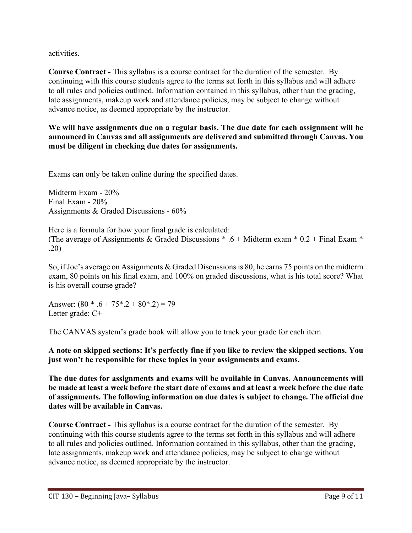activities.

**Course Contract -** This syllabus is a course contract for the duration of the semester. By continuing with this course students agree to the terms set forth in this syllabus and will adhere to all rules and policies outlined. Information contained in this syllabus, other than the grading, late assignments, makeup work and attendance policies, may be subject to change without advance notice, as deemed appropriate by the instructor.

**We will have assignments due on a regular basis. The due date for each assignment will be announced in Canvas and all assignments are delivered and submitted through Canvas. You must be diligent in checking due dates for assignments.**

Exams can only be taken online during the specified dates.

Midterm Exam - 20% Final Exam - 20% Assignments & Graded Discussions - 60%

Here is a formula for how your final grade is calculated: (The average of Assignments & Graded Discussions  $* 0.6 +$  Midterm exam  $* 0.2 +$  Final Exam  $*$ .20)

So, if Joe's average on Assignments & Graded Discussionsis 80, he earns 75 points on the midterm exam, 80 points on his final exam, and 100% on graded discussions, what is his total score? What is his overall course grade?

Answer:  $(80 * .6 + 75 * .2 + 80 * .2) = 79$ Letter grade: C+

The CANVAS system's grade book will allow you to track your grade for each item.

**A note on skipped sections: It's perfectly fine if you like to review the skipped sections. You just won't be responsible for these topics in your assignments and exams.**

**The due dates for assignments and exams will be available in Canvas. Announcements will be made at least a week before the start date of exams and at least a week before the due date of assignments. The following information on due dates is subject to change. The official due dates will be available in Canvas.**

**Course Contract -** This syllabus is a course contract for the duration of the semester. By continuing with this course students agree to the terms set forth in this syllabus and will adhere to all rules and policies outlined. Information contained in this syllabus, other than the grading, late assignments, makeup work and attendance policies, may be subject to change without advance notice, as deemed appropriate by the instructor.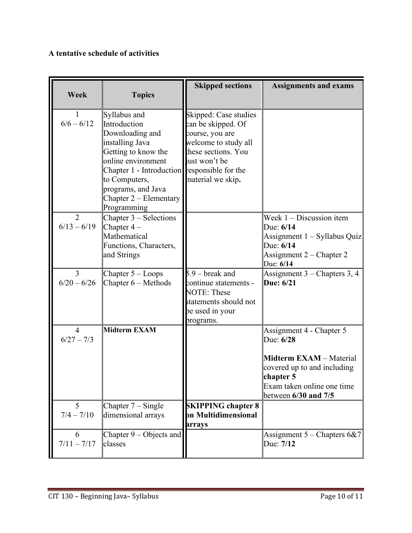# **A tentative schedule of activities**

| Week                            | <b>Topics</b>                                                                                                                                                                                                                                     | <b>Skipped sections</b>                                                                                                                           | <b>Assignments and exams</b>                                                                                                                                                  |
|---------------------------------|---------------------------------------------------------------------------------------------------------------------------------------------------------------------------------------------------------------------------------------------------|---------------------------------------------------------------------------------------------------------------------------------------------------|-------------------------------------------------------------------------------------------------------------------------------------------------------------------------------|
| $6/6 - 6/12$                    | Syllabus and<br>Introduction<br>Downloading and<br>installing Java<br>Getting to know the<br>online environment<br>Chapter $1$ - Introduction responsible for the<br>to Computers,<br>programs, and Java<br>Chapter 2 – Elementary<br>Programming | Skipped: Case studies<br>can be skipped. Of<br>course, you are<br>welcome to study all<br>hese sections. You<br>ust won't be<br>material we skip. |                                                                                                                                                                               |
| $\overline{2}$<br>$6/13 - 6/19$ | Chapter 3 - Selections<br>Chapter $4-$<br>Mathematical<br>Functions, Characters,<br>and Strings                                                                                                                                                   |                                                                                                                                                   | Week $1 -$ Discussion item<br>Due: 6/14<br>Assignment 1 – Syllabus Quiz<br>Due: 6/14<br>Assignment $2$ – Chapter 2<br>Due: 6/14                                               |
| $\overline{3}$<br>$6/20 - 6/26$ | Chapter 5 - Loops<br>Chapter 6 - Methods                                                                                                                                                                                                          | $5.9 - break$ and<br>continue statements -<br><b>NOTE: These</b><br>statements should not<br>be used in your<br>programs.                         | Assignment 3 – Chapters 3, 4<br>Due: 6/21                                                                                                                                     |
| $\overline{4}$<br>$6/27 - 7/3$  | <b>Midterm EXAM</b>                                                                                                                                                                                                                               |                                                                                                                                                   | Assignment 4 - Chapter 5<br>Due: 6/28<br><b>Midterm EXAM</b> - Material<br>covered up to and including<br>chapter 5<br>Exam taken online one time<br>between $6/30$ and $7/5$ |
| 5<br>$7/4 - 7/10$               | Chapter $7 -$ Single<br>dimensional arrays                                                                                                                                                                                                        | <b>SKIPPING chapter 8</b><br>on Multidimensional<br>arrays                                                                                        |                                                                                                                                                                               |
| 6<br>$7/11 - 7/17$              | Chapter 9 – Objects and<br>classes                                                                                                                                                                                                                |                                                                                                                                                   | Assignment $5$ – Chapters 6&7<br>Due: 7/12                                                                                                                                    |